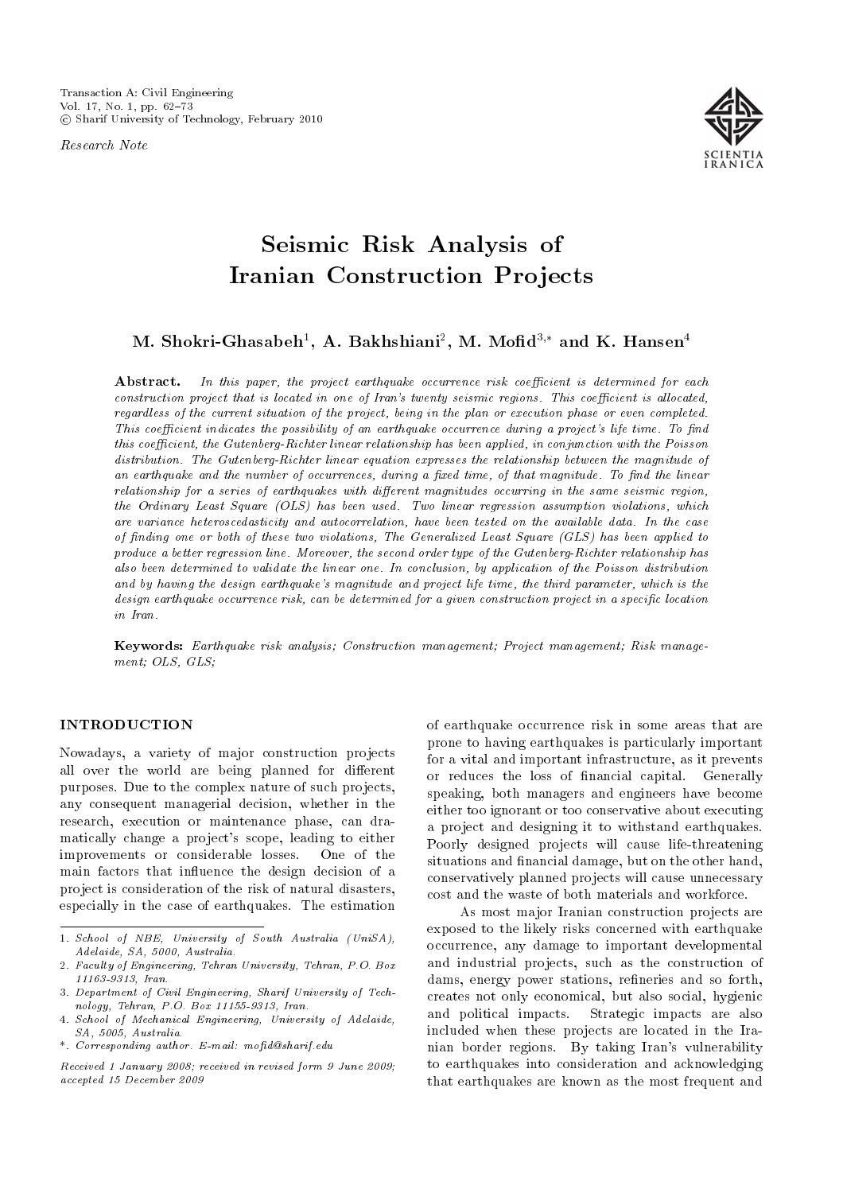Research Note



# Seismic Risk Analysis of Iranian Construction Projects

M. Shokri-Ghasabeh $^1$ , A. Bakhshiani $^2$ , M. Mofid $^{3,\ast}$  and K. Hansen $^4$ 

Abstract. In this paper, the project earthquake occurrence risk coefficient is determined for each  $construction$  project that is located in one of Iran's twenty seismic regions. This coefficient is allocated, regardless of the current situation of the project, being in the plan or execution phase or even completed. This coefficient indicates the possibility of an earthquake occurrence during a project's life time. To find this coefficient, the Gutenberg-Richter linear relationship has been applied, in conjunction with the Poisson distribution. The Gutenberg-Richter linear equation expresses the relationship between the magnitude of an earthquake and the number of occurrences, during a fixed time, of that magnitude. To find the linear  $relationship for a series of earth quakes with different magnitudes occurring in the same seismic region,$ the Ordinary Least Square (OLS) has been used. Two linear regression assumption violations, which are variance heteroscedasticity and autocorrelation, have been tested on the available data. In the case of nding one or both of these two violations, The Generalized Least Square (GLS) has been applied to produce a better regression line. Moreover, the second order type of the Gutenberg-Richter relationship has also been determined to validate the linear one. In conclusion, by application of the Poisson distribution and by having the design earthquake's magnitude and project life time, the third parameter, which is the design earthquake occurrence risk, can be determined for a given construction project in a specific location in Iran.

Keywords: Earthquake risk analysis; Construction management; Project management; Risk management; OLS, GLS;

# INTRODUCTION

Nowadays, a variety of major construction projects all over the world are being planned for different purposes. Due to the complex nature of such projects, any consequent managerial decision, whether in the research, execution or maintenance phase, can dramatically change a project's scope, leading to either improvements or considerable losses. One of the main factors that influence the design decision of a project is consideration of the risk of natural disasters, especially in the case of earthquakes. The estimation of earthquake occurrence risk in some areas that are prone to having earthquakes is particularly important for a vital and important infrastructure, as it prevents or reduces the loss of nancial capital. Generally speaking, both managers and engineers have become either too ignorant or too conservative about executing a project and designing it to withstand earthquakes. Poorly designed projects will cause life-threatening situations and financial damage, but on the other hand, conservatively planned projects will cause unnecessary cost and the waste of both materials and workforce.

As most major Iranian construction projects are exposed to the likely risks concerned with earthquake occurrence, any damage to important developmental and industrial projects, such as the construction of dams, energy power stations, refineries and so forth, creates not only economical, but also social, hygienic and political impacts. Strategic impacts are also included when these projects are located in the Iranian border regions. By taking Iran's vulnerability to earthquakes into consideration and acknowledging that earthquakes are known as the most frequent and

<sup>1.</sup> School of NBE, University of South Australia (UniSA), Adelaide, SA, 5000, Australia.

<sup>2.</sup> Faculty of Engineering, Tehran University, Tehran, P.O. Box 11163-9313, Iran.

<sup>3.</sup> Department of Civil Engineering, Sharif University of Technology, Tehran, P.O. Box 11155-9313, Iran.

<sup>4.</sup> School of Mechanical Engineering, University of Adelaide, SA, 5005, Australia.

<sup>\*.</sup> Corresponding author. E-mail: mod@sharif.edu

Received 1 January 2008; received in revised form 9 June 2009; accepted 15 December 2009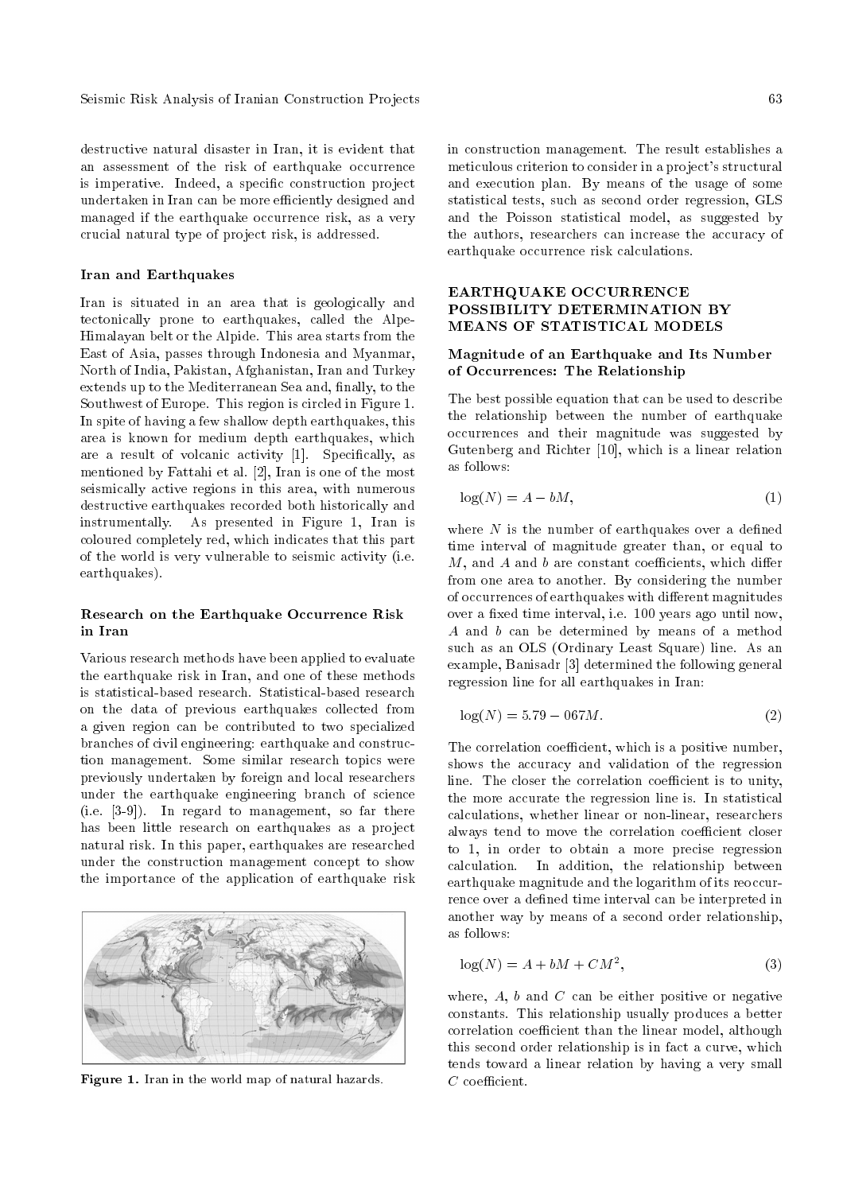Seismic Risk Analysis of Iranian Construction Projects 63

destructive natural disaster in Iran, it is evident that an assessment of the risk of earthquake occurrence is imperative. Indeed, a specific construction project undertaken in Iran can be more efficiently designed and managed if the earthquake occurrence risk, as a very crucial natural type of project risk, is addressed.

#### Iran and Earthquakes

Iran is situated in an area that is geologically and tectonically prone to earthquakes, called the Alpe-Himalayan belt or the Alpide. This area starts from the East of Asia, passes through Indonesia and Myanmar, North of India, Pakistan, Afghanistan, Iran and Turkey extends up to the Mediterranean Sea and, finally, to the Southwest of Europe. This region is circled in Figure 1. In spite of having a few shallow depth earthquakes, this area is known for medium depth earthquakes, which are a result of volcanic activity [1]. Specifically, as mentioned by Fattahi et al. [2], Iran is one of the most seismically active regions in this area, with numerous destructive earthquakes recorded both historically and instrumentally. As presented in Figure 1, Iran is coloured completely red, which indicates that this part of the world is very vulnerable to seismic activity (i.e. earthquakes).

## Research on the Earthquake Occurrence Risk in Iran

Various research methods have been applied to evaluate the earthquake risk in Iran, and one of these methods is statistical-based research. Statistical-based research on the data of previous earthquakes collected from a given region can be contributed to two specialized branches of civil engineering: earthquake and construction management. Some similar research topics were previously undertaken by foreign and local researchers under the earthquake engineering branch of science (i.e. [3-9]). In regard to management, so far there has been little research on earthquakes as a project natural risk. In this paper, earthquakes are researched under the construction management concept to show the importance of the application of earthquake risk



Figure 1. Iran in the world map of natural hazards.

in construction management. The result establishes a meticulous criterion to consider in a project's structural and execution plan. By means of the usage of some statistical tests, such as second order regression, GLS and the Poisson statistical model, as suggested by the authors, researchers can increase the accuracy of earthquake occurrence risk calculations.

# EARTHQUAKE OCCURRENCE POSSIBILITY DETERMINATION BY MEANS OF STATISTICAL MODELS

## Magnitude of an Earthquake and Its Number of Occurrences: The Relationship

The best possible equation that can be used to describe the relationship between the number of earthquake occurrences and their magnitude was suggested by Gutenberg and Richter [10], which is a linear relation as follows:

$$
\log(N) = A - bM,\tag{1}
$$

where  $N$  is the number of earthquakes over a defined time interval of magnitude greater than, or equal to  $M$ , and  $A$  and  $b$  are constant coefficients, which differ from one area to another. By considering the number of occurrences of earthquakes with different magnitudes over a fixed time interval, i.e. 100 years ago until now, A and b can be determined by means of a method such as an OLS (Ordinary Least Square) line. As an example, Banisadr [3] determined the following general regression line for all earthquakes in Iran:

$$
\log(N) = 5.79 - 067M.\tag{2}
$$

The correlation coefficient, which is a positive number, shows the accuracy and validation of the regression line. The closer the correlation coefficient is to unity, the more accurate the regression line is. In statistical calculations, whether linear or non-linear, researchers always tend to move the correlation coefficient closer to 1, in order to obtain a more precise regression calculation. In addition, the relationship between earthquake magnitude and the logarithm of its reoccurrence over a defined time interval can be interpreted in another way by means of a second order relationship, as follows:

$$
\log(N) = A + bM + CM^2,\tag{3}
$$

where,  $A$ ,  $b$  and  $C$  can be either positive or negative constants. This relationship usually produces a better correlation coefficient than the linear model, although this second order relationship is in fact a curve, which tends toward a linear relation by having a very small  $C$  coefficient.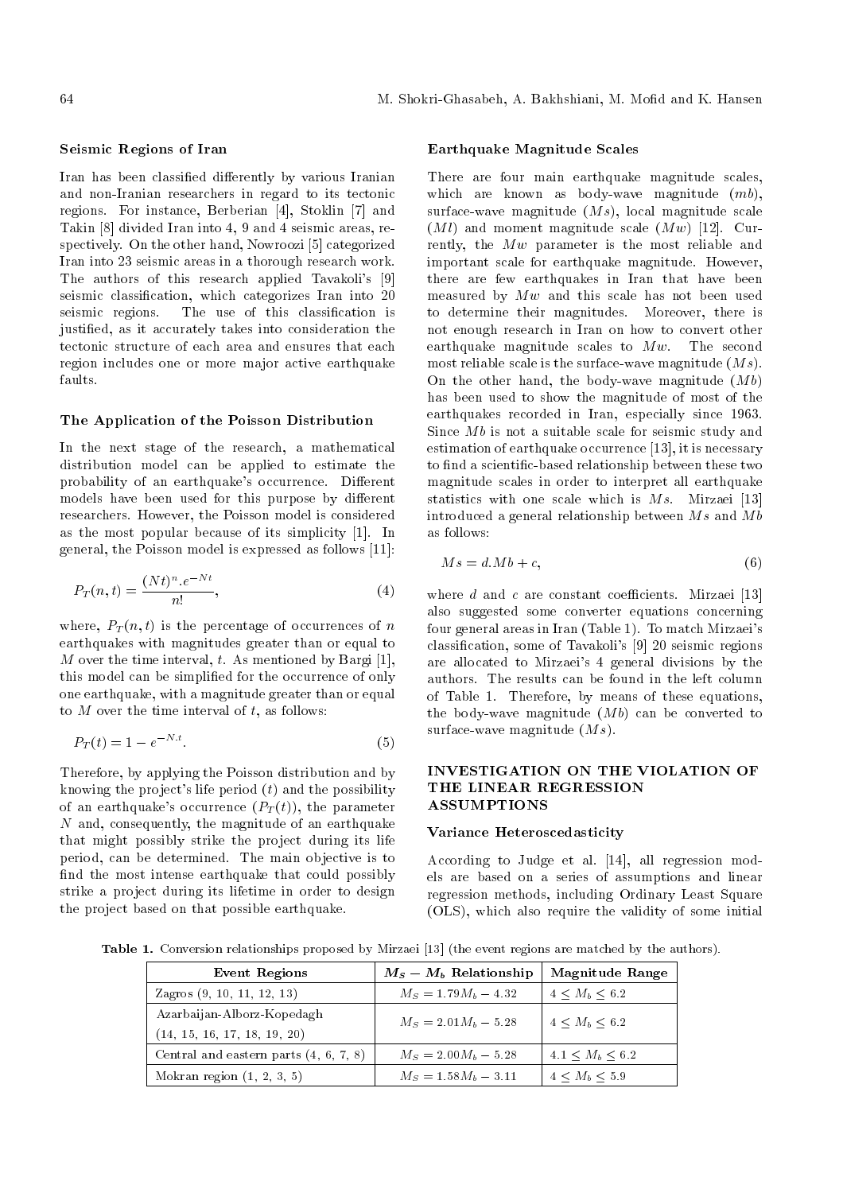#### Seismic Regions of Iran

Iran has been classified differently by various Iranian and non-Iranian researchers in regard to its tectonic regions. For instance, Berberian [4], Stoklin [7] and Takin [8] divided Iran into 4, 9 and 4 seismic areas, respectively. On the other hand, Nowroozi [5] categorized Iran into 23 seismic areas in a thorough research work. The authors of this research applied Tavakoli's [9] seismic classification, which categorizes Iran into 20 seismic regions. The use of this classification is justied, as it accurately takes into consideration the tectonic structure of each area and ensures that each region includes one or more major active earthquake faults.

#### The Application of the Poisson Distribution

In the next stage of the research, a mathematical distribution model can be applied to estimate the probability of an earthquake's occurrence. Different models have been used for this purpose by different researchers. However, the Poisson model is considered as the most popular because of its simplicity [1]. In general, the Poisson model is expressed as follows [11]:

$$
P_T(n,t) = \frac{(Nt)^n \cdot e^{-Nt}}{n!},\tag{4}
$$

where,  $P_T(n,t)$  is the percentage of occurrences of n earthquakes with magnitudes greater than or equal to M over the time interval, t. As mentioned by Bargi [1], this model can be simplied for the occurrence of only one earthquake, with a magnitude greater than or equal to  $M$  over the time interval of  $t$ , as follows:

$$
P_T(t) = 1 - e^{-N \cdot t}.\tag{5}
$$

Therefore, by applying the Poisson distribution and by knowing the project's life period  $(t)$  and the possibility of an earthquake's occurrence  $(P_T(t))$ , the parameter N and, consequently, the magnitude of an earthquake that might possibly strike the project during its life period, can be determined. The main objective is to find the most intense earthquake that could possibly strike a project during its lifetime in order to design the project based on that possible earthquake.

#### Earthquake Magnitude Scales

There are four main earthquake magnitude scales, which are known as body-wave magnitude  $(mb)$ , surface-wave magnitude  $(Ms)$ , local magnitude scale  $(Ml)$  and moment magnitude scale  $(Mw)$  [12]. Currently, the Mw parameter is the most reliable and important scale for earthquake magnitude. However, there are few earthquakes in Iran that have been measured by  $Mw$  and this scale has not been used to determine their magnitudes. Moreover, there is not enough research in Iran on how to convert other earthquake magnitude scales to  $Mw$ . The second most reliable scale is the surface-wave magnitude  $(Ms)$ . On the other hand, the body-wave magnitude  $(Mb)$ has been used to show the magnitude of most of the earthquakes recorded in Iran, especially since 1963. Since  $Mb$  is not a suitable scale for seismic study and estimation of earthquake occurrence [13], it is necessary to find a scientific-based relationship between these two magnitude scales in order to interpret all earthquake statistics with one scale which is  $Ms$ . Mirzaei [13] introduced a general relationship between  $Ms$  and  $Mb$ as follows:

$$
Ms = d.Mb + c,\t\t(6)
$$

where  $d$  and  $c$  are constant coefficients. Mirzaei [13] also suggested some converter equations concerning four general areas in Iran (Table 1). To match Mirzaei's classication, some of Tavakoli's [9] 20 seismic regions are allocated to Mirzaei's 4 general divisions by the authors. The results can be found in the left column of Table 1. Therefore, by means of these equations, the body-wave magnitude  $(Mb)$  can be converted to surface-wave magnitude  $(Ms)$ .

## INVESTIGATION ON THE VIOLATION OF THE LINEAR REGRESSION **ASSUMPTIONS**

## Variance Heteroscedasticity

According to Judge et al. [14], all regression models are based on a series of assumptions and linear regression methods, including Ordinary Least Square (OLS), which also require the validity of some initial

Table 1. Conversion relationships proposed by Mirzaei [13] (the event regions are matched by the authors).

| <b>Event Regions</b>                                       | $M_S - M_b$ Relationship | Magnitude Range         |  |
|------------------------------------------------------------|--------------------------|-------------------------|--|
| Zagros $(9, 10, 11, 12, 13)$                               | $M_S = 1.79 M_b - 4.32$  | $4 \leq M_h \leq 6.2$   |  |
| Azarbaijan-Alborz-Kopedagh<br>(14, 15, 16, 17, 18, 19, 20) | $M_S = 2.01 M_b - 5.28$  | $4 \leq M_b \leq 6.2$   |  |
| Central and eastern parts $(4, 6, 7, 8)$                   | $M_S = 2.00 M_b - 5.28$  | $4.1 \leq M_h \leq 6.2$ |  |
| Mokran region $(1, 2, 3, 5)$                               | $M_S = 1.58M_b - 3.11$   | $4 \leq M_h \leq 5.9$   |  |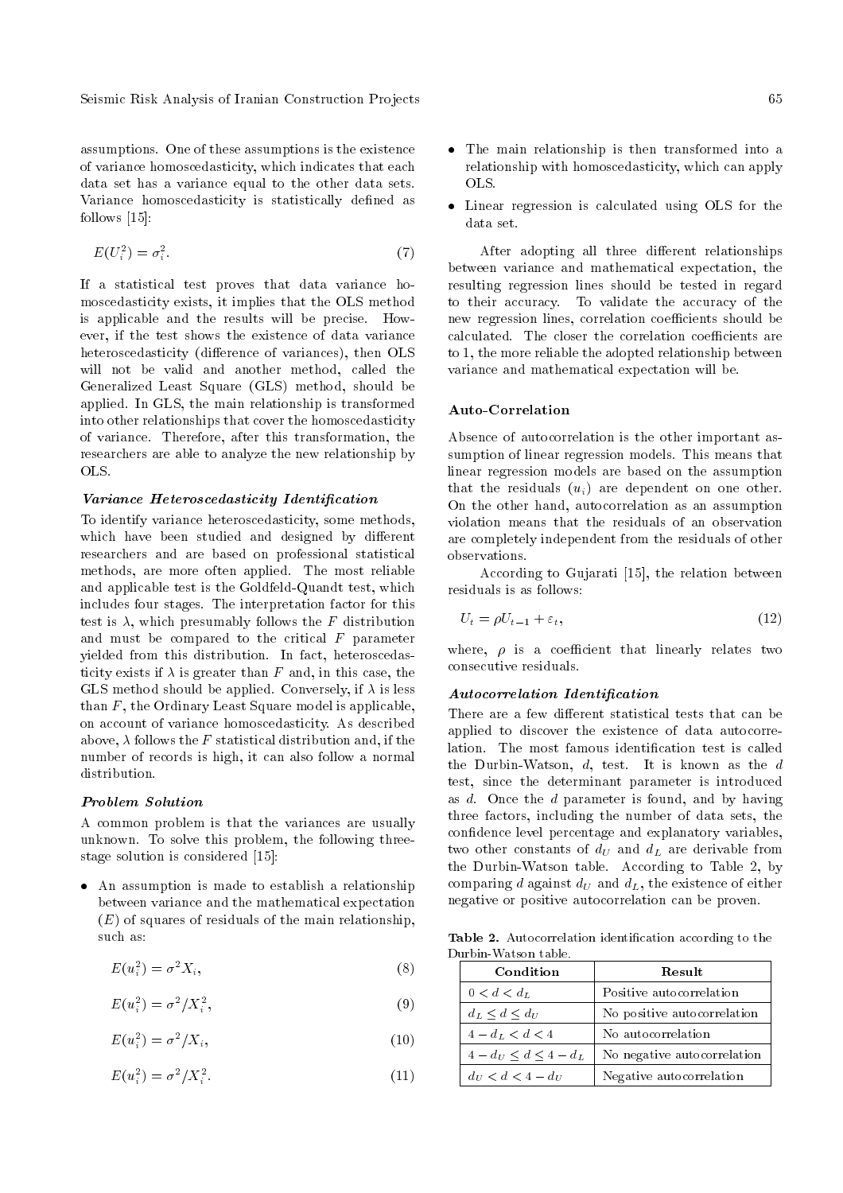assumptions. One of these assumptions is the existence of variance homoscedasticity, which indicates that each data set has a variance equal to the other data sets. Variance homoscedasticity is statistically defined as follows [15]:

$$
E(U_i^2) = \sigma_i^2. \tag{7}
$$

If a statistical test proves that data variance homoscedasticity exists, it implies that the OLS method is applicable and the results will be precise. However, if the test shows the existence of data variance heteroscedasticity (difference of variances), then OLS will not be valid and another method, called the Generalized Least Square (GLS) method, should be applied. In GLS, the main relationship is transformed into other relationships that cover the homoscedasticity of variance. Therefore, after this transformation, the researchers are able to analyze the new relationship by OLS.

#### Variance Heteroscedasticity Identification

To identify variance heteroscedasticity, some methods, which have been studied and designed by different researchers and are based on professional statistical methods, are more often applied. The most reliable and applicable test is the Goldfeld-Quandt test, which includes four stages. The interpretation factor for this test is  $\lambda$ , which presumably follows the F distribution and must be compared to the critical  $F$  parameter yielded from this distribution. In fact, heteroscedasticity exists if  $\lambda$  is greater than F and, in this case, the GLS method should be applied. Conversely, if  $\lambda$  is less than F, the Ordinary Least Square model is applicable, on account of variance homoscedasticity. As described above,  $\lambda$  follows the F statistical distribution and, if the number of records is high, it can also follow a normal distribution.

#### Problem Solution

A common problem is that the variances are usually unknown. To solve this problem, the following threestage solution is considered [15]:

 An assumption is made to establish a relationship between variance and the mathematical expectation  $(E)$  of squares of residuals of the main relationship, such as:

$$
E(u_i^2) = \sigma^2 X_i,\tag{8}
$$

$$
E(u_i^2) = \sigma^2 / X_i^2,\tag{9}
$$

$$
E(u_i^2) = \sigma^2 / X_i,
$$
\n(10)

$$
E(u_i^2) = \sigma^2 / X_i^2. \tag{11}
$$

- The main relationship is then transformed into a relationship with homoscedasticity, which can apply OLS.
- Linear regression is calculated using OLS for the data set.

After adopting all three different relationships between variance and mathematical expectation, the resulting regression lines should be tested in regard to their accuracy. To validate the accuracy of the new regression lines, correlation coefficients should be calculated. The closer the correlation coefficients are to 1, the more reliable the adopted relationship between variance and mathematical expectation will be.

#### Auto-Correlation

Absence of autocorrelation is the other important assumption of linear regression models. This means that linear regression models are based on the assumption that the residuals  $(u_i)$  are dependent on one other. On the other hand, autocorrelation as an assumption violation means that the residuals of an observation are completely independent from the residuals of other observations.

According to Gujarati [15], the relation between residuals is as follows:

$$
U_t = \rho U_{t-1} + \varepsilon_t,\tag{12}
$$

where,  $\rho$  is a coefficient that linearly relates two consecutive residuals.

#### Autocorrelation Identification

There are a few different statistical tests that can be applied to discover the existence of data autocorrelation. The most famous identification test is called the Durbin-Watson,  $d$ , test. It is known as the  $d$ test, since the determinant parameter is introduced as d. Once the d parameter is found, and by having three factors, including the number of data sets, the condence level percentage and explanatory variables, two other constants of  $d_U$  and  $d_L$  are derivable from the Durbin-Watson table. According to Table 2, by comparing d against  $d_U$  and  $d_L$ , the existence of either negative or positive autocorrelation can be proven.

Table 2. Autocorrelation identification according to the Durbin-Watson table.

| Condition                 | Result                      |
|---------------------------|-----------------------------|
| $0 < d < d_L$             | Positive autocorrelation    |
| $d_L < d < d_U$           | No positive autocorrelation |
| $4-d_L < d < 4$           | No autocorrelation          |
| $4-d_U \leq d \leq 4-d_L$ | No negative autocorrelation |
| $d_{U} < d < 4 - d_{U}$   | Negative autocorrelation    |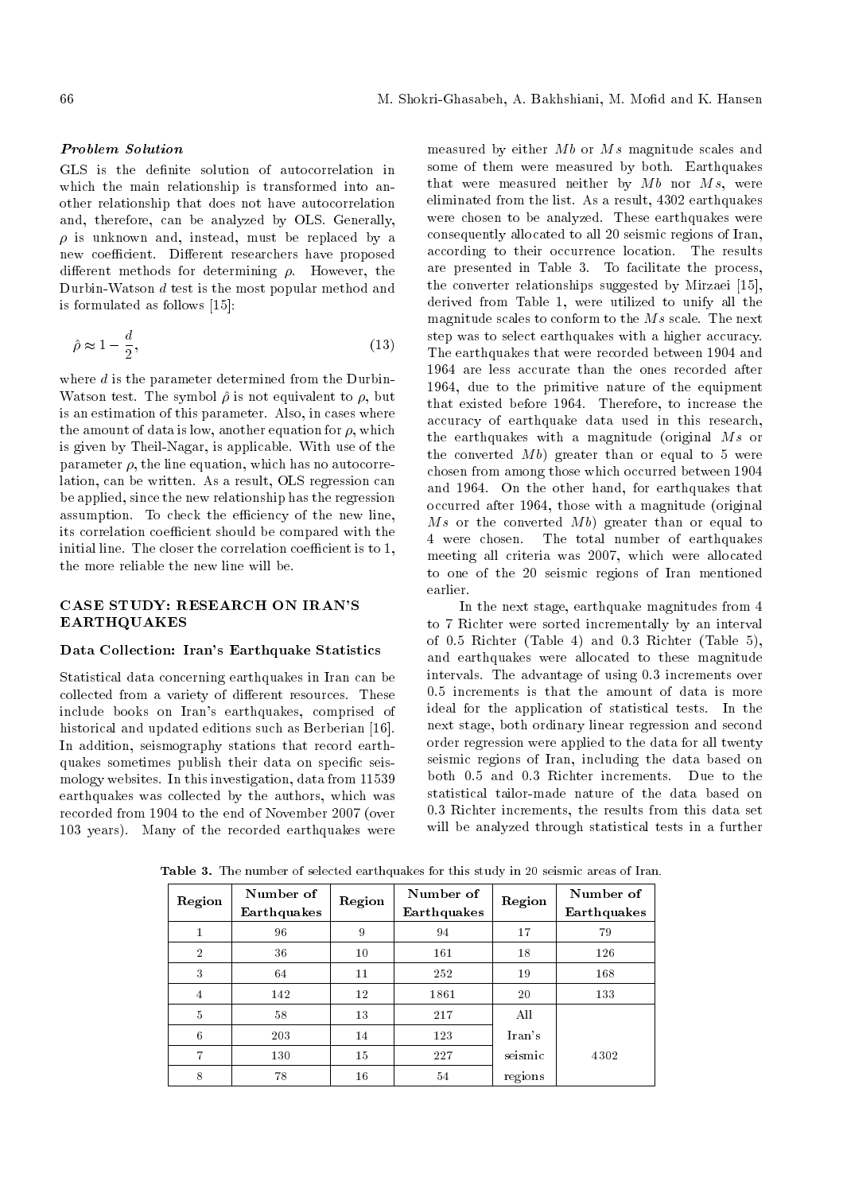# Problem Solution

GLS is the definite solution of autocorrelation in which the main relationship is transformed into another relationship that does not have autocorrelation and, therefore, can be analyzed by OLS. Generally,  $\rho$  is unknown and, instead, must be replaced by a new coefficient. Different researchers have proposed different methods for determining  $\rho$ . However, the Durbin-Watson d test is the most popular method and is formulated as follows [15]:

$$
\hat{\rho} \approx 1 - \frac{d}{2},\tag{13}
$$

where  $d$  is the parameter determined from the Durbin-Watson test. The symbol  $\hat{\rho}$  is not equivalent to  $\rho$ , but is an estimation of this parameter. Also, in cases where the amount of data is low, another equation for  $\rho$ , which is given by Theil-Nagar, is applicable. With use of the parameter  $\rho$ , the line equation, which has no autocorrelation, can be written. As a result, OLS regression can be applied, since the new relationship has the regression assumption. To check the efficiency of the new line, its correlation coefficient should be compared with the initial line. The closer the correlation coefficient is to 1, the more reliable the new line will be.

# CASE STUDY: RESEARCH ON IRAN'S EARTHQUAKES

## Data Collection: Iran's Earthquake Statistics

Statistical data concerning earthquakes in Iran can be collected from a variety of different resources. These include books on Iran's earthquakes, comprised of historical and updated editions such as Berberian [16]. In addition, seismography stations that record earthquakes sometimes publish their data on specific seismology websites. In this investigation, data from 11539 earthquakes was collected by the authors, which was recorded from 1904 to the end of November 2007 (over 103 years). Many of the recorded earthquakes were

measured by either  $Mb$  or  $Ms$  magnitude scales and some of them were measured by both. Earthquakes that were measured neither by  $Mb$  nor  $Ms$ , were eliminated from the list. As a result, 4302 earthquakes were chosen to be analyzed. These earthquakes were consequently allocated to all 20 seismic regions of Iran, according to their occurrence location. The results are presented in Table 3. To facilitate the process, the converter relationships suggested by Mirzaei [15], derived from Table 1, were utilized to unify all the magnitude scales to conform to the Ms scale. The next step was to select earthquakes with a higher accuracy. The earthquakes that were recorded between 1904 and 1964 are less accurate than the ones recorded after 1964, due to the primitive nature of the equipment that existed before 1964. Therefore, to increase the accuracy of earthquake data used in this research, the earthquakes with a magnitude (original Ms or the converted  $Mb)$  greater than or equal to 5 were chosen from among those which occurred between 1904 and 1964. On the other hand, for earthquakes that occurred after 1964, those with a magnitude (original Ms or the converted  $Mb)$  greater than or equal to 4 were chosen. The total number of earthquakes meeting all criteria was 2007, which were allocated to one of the 20 seismic regions of Iran mentioned earlier.

In the next stage, earthquake magnitudes from 4 to 7 Richter were sorted incrementally by an interval of 0.5 Richter (Table 4) and 0.3 Richter (Table 5), and earthquakes were allocated to these magnitude intervals. The advantage of using 0.3 increments over 0.5 increments is that the amount of data is more ideal for the application of statistical tests. In the next stage, both ordinary linear regression and second order regression were applied to the data for all twenty seismic regions of Iran, including the data based on both 0.5 and 0.3 Richter increments. Due to the statistical tailor-made nature of the data based on 0.3 Richter increments, the results from this data set will be analyzed through statistical tests in a further

| Region         | Number of<br>Earthquakes | Region | Number of<br>Earthquakes | Region  | Number of<br>Earthquakes |
|----------------|--------------------------|--------|--------------------------|---------|--------------------------|
| $\mathbf{1}$   | 96                       | 9      | 94                       | 17      | 79                       |
| $\overline{2}$ | 36                       | 10     | 161                      | 18      | 126                      |
| 3              | 64                       | 11     | 252                      | 19      | 168                      |
| $\overline{4}$ | 142                      | 12     | 1861                     | 20      | 133                      |
| 5              | 58                       | 13     | 217                      | All     |                          |
| 6              | 203                      | 14     | 123                      | Iran's  |                          |
| 7              | 130                      | 15     | 227                      | seismic | 4302                     |
| 8              | 78                       | 16     | 54                       | regions |                          |

Table 3. The number of selected earthquakes for this study in 20 seismic areas of Iran.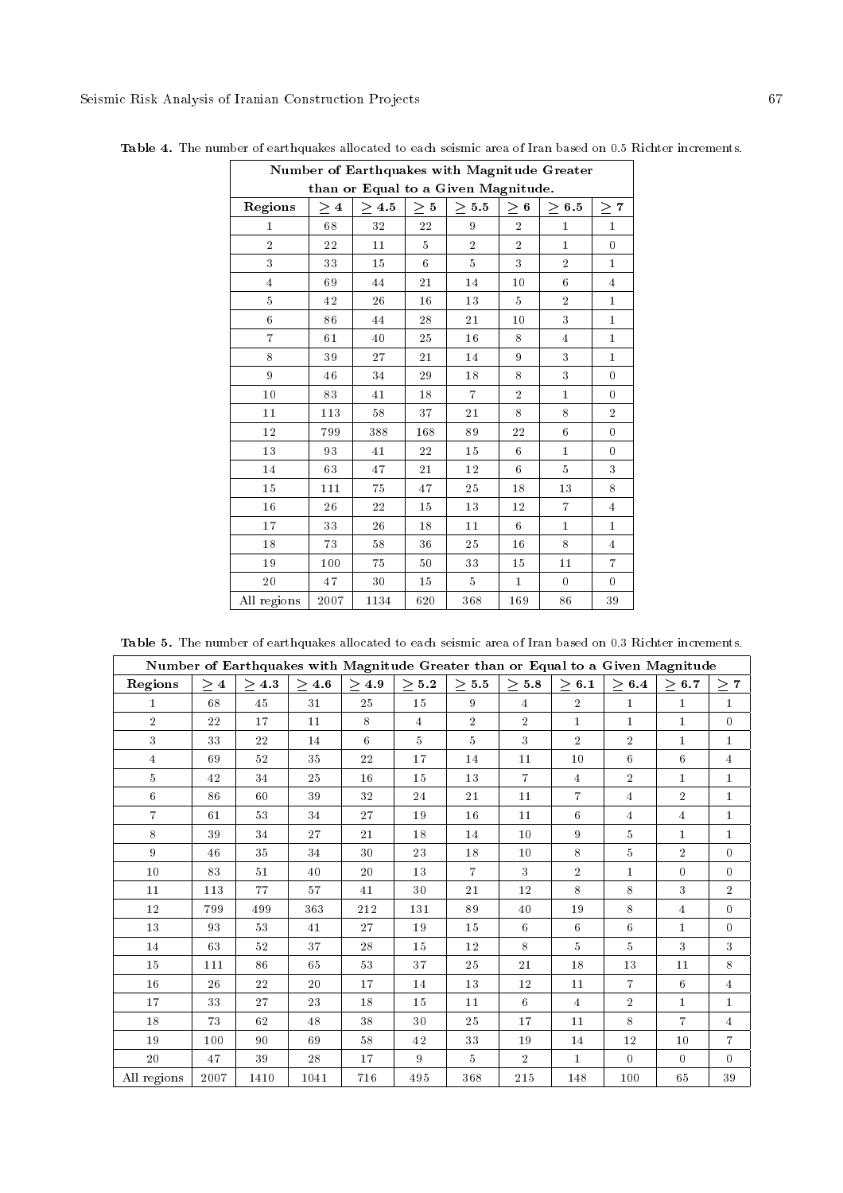|                | Number of Earthquakes with Magnitude Greater |                                     |                |                |                 |                |                  |
|----------------|----------------------------------------------|-------------------------------------|----------------|----------------|-----------------|----------------|------------------|
|                |                                              | than or Equal to a Given Magnitude. |                |                |                 |                |                  |
| Regions        | $\geq 4$                                     | $\geq 4.5$                          | $\geq 5$       | $\geq 5.5$     | $\geq 6$        | $\geq 6.5$     | 7<br>$\geq$      |
| $\mathbf{1}$   | 68                                           | $3\sqrt{2}$                         | $2\sqrt{2}$    | 9              | $\overline{2}$  | $\mathbf{1}$   | $\mathbf 1$      |
| $\overline{2}$ | 22                                           | 11                                  | $\overline{5}$ | $\overline{2}$ | $\overline{2}$  | $\bf{1}$       | $\overline{0}$   |
| 3              | 33                                           | 15                                  | 6              | $\overline{5}$ | 3               | $\overline{2}$ | $\mathbf{1}$     |
| $\overline{4}$ | 69                                           | 44                                  | 21             | 14             | 10              | 6              | $\overline{4}$   |
| 5              | 42                                           | 26                                  | 16             | 13             | 5               | $\overline{2}$ | $\mathbf{1}$     |
| 6              | 86                                           | 44                                  | 28             | 21             | 10              | 3              | $\mathbf 1$      |
| $\overline{7}$ | 61                                           | 40                                  | 25             | 16             | 8               | $\overline{4}$ | $\mathbf{1}$     |
| 8              | 39                                           | 27                                  | 21             | 14             | 9               | 3              | $\mathbf{1}$     |
| 9              | 46                                           | 34                                  | 29             | 18             | 8               | 3              | $\overline{0}$   |
| 10             | 83                                           | 41                                  | 18             | $\overline{7}$ | $\overline{2}$  | $\mathbf{1}$   | $\overline{0}$   |
| 11             | 113                                          | 58                                  | 37             | 21             | 8               | 8              | $\overline{2}$   |
| 12             | 799                                          | 388                                 | 168            | 89             | 22              | 6              | $\boldsymbol{0}$ |
| 13             | 93                                           | 41                                  | 22             | 15             | 6               | $\mathbf{1}$   | 0                |
| 14             | 63                                           | 47                                  | 21             | 12             | 6               | 5              | 3                |
| 15             | 111                                          | 75                                  | 47             | 25             | 18              | 13             | 8                |
| 16             | 26                                           | 22                                  | 15             | 13             | 12              | $\overline{7}$ | $\overline{4}$   |
| 17             | 33                                           | 26                                  | 18             | 11             | $6\phantom{.}6$ | $\bf{1}$       | $\mathbf{1}$     |
| 18             | 73                                           | 58                                  | 36             | 25             | 16              | 8              | $\overline{4}$   |
| 19             | 100                                          | 75                                  | 50             | 33             | 15              | 11             | $\overline{7}$   |
| 20             | 47                                           | 30                                  | 15             | 5 <sup>5</sup> | $\mathbf{1}$    | $\theta$       | 0                |
| All regions    | 2007                                         | 1134                                | 620            | 368            | 169             | 86             | 39               |

Table 4. The number of earthquakes allocated to each seismic area of Iran based on 0.5 Richter increments.

| <b>Table 5.</b> The number of earthquakes allocated to each seismic area of Iran based on 0.3 Richter increments. |  |
|-------------------------------------------------------------------------------------------------------------------|--|
|-------------------------------------------------------------------------------------------------------------------|--|

|                | Number of Earthquakes with Magnitude Greater than or Equal to a Given Magnitude |            |            |            |                |                |                |                |                |                |                |
|----------------|---------------------------------------------------------------------------------|------------|------------|------------|----------------|----------------|----------------|----------------|----------------|----------------|----------------|
| Regions        | $\geq 4$                                                                        | $\geq 4.3$ | $\geq 4.6$ | $\geq 4.9$ | $\geq 5.2$     | $\geq 5.5$     | $\geq 5.8$     | $\geq 6.1$     | $\geq 6.4$     | $\geq 6.7$     | $\geq 7$       |
| $\mathbf{1}$   | 68                                                                              | 45         | 31         | 25         | 15             | 9              | $\overline{4}$ | $\overline{2}$ | $\mathbf{1}$   | $\mathbf{1}$   | $\bf{1}$       |
| $\overline{2}$ | 22                                                                              | 17         | 11         | 8          | $\overline{4}$ | $\overline{2}$ | $\overline{2}$ | $\bf{1}$       | $\mathbf{1}$   | $\mathbf{1}$   | $\Omega$       |
| 3              | 33                                                                              | 22         | 14         | 6          | 5 <sup>5</sup> | 5              | 3              | $\overline{2}$ | $\overline{2}$ | $\mathbf{1}$   | $\bf{1}$       |
| $\overline{4}$ | 69                                                                              | 52         | 35         | 22         | 17             | 14             | 11             | 10             | 6              | 6              | $\overline{4}$ |
| 5              | 42                                                                              | 34         | 25         | 16         | 15             | 13             | $\overline{7}$ | $\overline{4}$ | $\overline{2}$ | $\mathbf{1}$   | $\mathbf{1}$   |
| 6              | 86                                                                              | 60         | 39         | 32         | 24             | 21             | 11             | $\overline{7}$ | $\overline{4}$ | $\overline{2}$ | $\bf{1}$       |
| $\overline{7}$ | 61                                                                              | 53         | 34         | 27         | 19             | 16             | 11             | 6              | 4              | 4              | $\mathbf{1}$   |
| 8              | 39                                                                              | 34         | 27         | 21         | 18             | 14             | 10             | 9              | 5              | $\mathbf{1}$   | $\bf{1}$       |
| 9              | 46                                                                              | 35         | 34         | 30         | 23             | 18             | 10             | 8              | 5              | $\overline{2}$ | $\Omega$       |
| 10             | 83                                                                              | 51         | 40         | 20         | 13             | $\overline{7}$ | 3              | $\overline{2}$ | $\mathbf{1}$   | $\theta$       | $\Omega$       |
| $11\,$         | 113                                                                             | 77         | 57         | 41         | 30             | 21             | 12             | 8              | 8              | 3              | $\overline{2}$ |
| 12             | 799                                                                             | 499        | 363        | 212        | 131            | 89             | 40             | 19             | 8              | $\overline{4}$ | $\Omega$       |
| 13             | 93                                                                              | 53         | 41         | 27         | 19             | 15             | 6              | 6              | 6              | $\mathbf{1}$   | $\overline{0}$ |
| 14             | 63                                                                              | 52         | 37         | 28         | 15             | 12             | 8              | 5              | 5              | 3              | 3              |
| 15             | 111                                                                             | 86         | 65         | 53         | 37             | 25             | 21             | 18             | 13             | 11             | 8              |
| 16             | 26                                                                              | 22         | 20         | 17         | 14             | 13             | 12             | 11             | $\overline{7}$ | 6              | 4              |
| 17             | 33                                                                              | 27         | 23         | 18         | 15             | 11             | 6              | $\overline{4}$ | $\overline{2}$ | $\mathbf{1}$   | $\mathbf{1}$   |
| 18             | 73                                                                              | 62         | 48         | 38         | 30             | 25             | 17             | 11             | 8              | $\overline{7}$ | $\overline{4}$ |
| 19             | 100                                                                             | 90         | 69         | 58         | 42             | 33             | 19             | 14             | 12             | 10             | $\overline{7}$ |
| 20             | 47                                                                              | 39         | 28         | 17         | 9              | 5              | $\overline{2}$ | $\bf{1}$       | $\theta$       | $\theta$       | $\Omega$       |
| All regions    | 2007                                                                            | 1410       | 1041       | 716        | 495            | 368            | 215            | 148            | 100            | 65             | $3\sqrt{9}$    |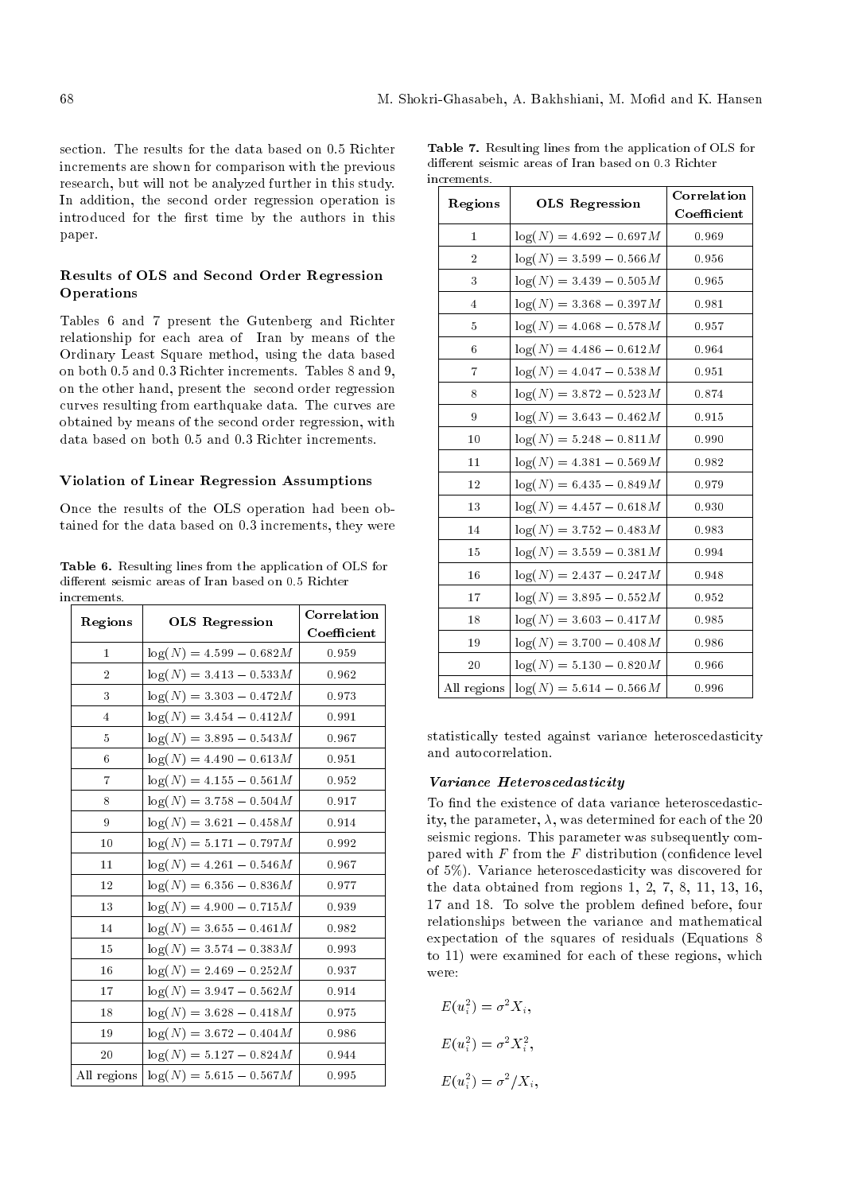section. The results for the data based on 0.5 Richter increments are shown for comparison with the previous research, but will not be analyzed further in this study. In addition, the second order regression operation is introduced for the first time by the authors in this paper.

# Results of OLS and Second Order Regression Operations

Tables 6 and 7 present the Gutenberg and Richter relationship for each area of Iran by means of the Ordinary Least Square method, using the data based on both 0.5 and 0.3 Richter increments. Tables 8 and 9, on the other hand, present the second order regression curves resulting from earthquake data. The curves are obtained by means of the second order regression, with data based on both 0.5 and 0.3 Richter increments.

#### Violation of Linear Regression Assumptions

Once the results of the OLS operation had been obtained for the data based on 0.3 increments, they were

Table 6. Resulting lines from the application of OLS for different seismic areas of Iran based on 0.5 Richter increments.

| Regions        | <b>OLS</b> Regression      | Correlation |
|----------------|----------------------------|-------------|
|                |                            | Coefficient |
| $\mathbf{1}$   | $log(N) = 4.599 - 0.682M$  | 0.959       |
| $\overline{2}$ | $log(N) = 3.413 - 0.533M$  | 0.962       |
| 3              | $log(N) = 3.303 - 0.472M$  | 0.973       |
| $\overline{4}$ | $log(N) = 3.454 - 0.412M$  | 0.991       |
| 5              | $log(N) = 3.895 - 0.543M$  | 0.967       |
| 6              | $\log(N) = 4.490 - 0.613M$ | 0.951       |
| $\overline{7}$ | $log(N) = 4.155 - 0.561M$  | 0.952       |
| 8              | $log(N) = 3.758 - 0.504M$  | 0.917       |
| 9              | $log(N) = 3.621 - 0.458M$  | 0.914       |
| 10             | $log(N) = 5.171 - 0.797M$  | 0.992       |
| 11             | $log(N) = 4.261 - 0.546M$  | 0.967       |
| 12             | $log(N) = 6.356 - 0.836M$  | 0.977       |
| 13             | $log(N) = 4.900 - 0.715M$  | 0.939       |
| 14             | $log(N) = 3.655 - 0.461M$  | 0.982       |
| 15             | $log(N) = 3.574 - 0.383M$  | 0.993       |
| 16             | $log(N) = 2.469 - 0.252M$  | 0.937       |
| 17             | $log(N) = 3.947 - 0.562M$  | 0.914       |
| 18             | $log(N) = 3.628 - 0.418M$  | 0.975       |
| 19             | $log(N) = 3.672 - 0.404M$  | 0.986       |
| 20             | $log(N) = 5.127 - 0.824M$  | 0.944       |
| All regions    | $log(N) = 5.615 - 0.567M$  | 0.995       |

| <b>Table 7.</b> Resulting lines from the application of OLS for |
|-----------------------------------------------------------------|
| different seismic areas of Iran based on 0.3 Richter            |
| increments.                                                     |

|                |                            | Correlation |
|----------------|----------------------------|-------------|
| Regions        | <b>OLS</b> Regression      | Coefficient |
| 1              | $log(N) = 4.692 - 0.697M$  | 0.969       |
| $\overline{2}$ | $log(N) = 3.599 - 0.566M$  | 0.956       |
| 3              | $log(N) = 3.439 - 0.505M$  | 0.965       |
| 4              | $log(N) = 3.368 - 0.397M$  | 0.981       |
| 5              | $log(N) = 4.068 - 0.578M$  | 0.957       |
| 6              | $log(N) = 4.486 - 0.612M$  | 0.964       |
| $\overline{7}$ | $log(N) = 4.047 - 0.538M$  | 0.951       |
| 8              | $log(N) = 3.872 - 0.523M$  | 0.874       |
| 9              | $\log(N) = 3.643 - 0.462M$ | 0.915       |
| 10             | $log(N) = 5.248 - 0.811M$  | 0.990       |
| 11             | $log(N) = 4.381 - 0.569M$  | 0.982       |
| 12             | $\log(N) = 6.435 - 0.849M$ | 0.979       |
| 13             | $log(N) = 4.457 - 0.618M$  | 0.930       |
| 14             | $log(N) = 3.752 - 0.483M$  | 0.983       |
| 15             | $log(N) = 3.559 - 0.381M$  | 0.994       |
| 16             | $log(N) = 2.437 - 0.247M$  | 0.948       |
| 17             | $\log(N) = 3.895 - 0.552M$ | 0.952       |
| 18             | $log(N) = 3.603 - 0.417M$  | 0.985       |
| 19             | $\log(N) = 3.700 - 0.408M$ | 0.986       |
| 20             | $log(N) = 5.130 - 0.820M$  | 0.966       |
| All regions    | $log(N) = 5.614 - 0.566M$  | 0.996       |

statistically tested against variance heteroscedasticity and autocorrelation.

## Variance Heteroscedasticity

To find the existence of data variance heteroscedasticity, the parameter,  $\lambda$ , was determined for each of the 20 seismic regions. This parameter was subsequently compared with  $F$  from the  $F$  distribution (confidence level of 5%). Variance heteroscedasticity was discovered for the data obtained from regions 1, 2, 7, 8, 11, 13, 16, 17 and 18. To solve the problem defined before, four relationships between the variance and mathematical expectation of the squares of residuals (Equations 8 to 11) were examined for each of these regions, which were:

$$
E(u_i^2) = \sigma^2 X_i,
$$
  
\n
$$
E(u_i^2) = \sigma^2 X_i^2,
$$
  
\n
$$
E(u_i^2) = \sigma^2 / X_i,
$$

;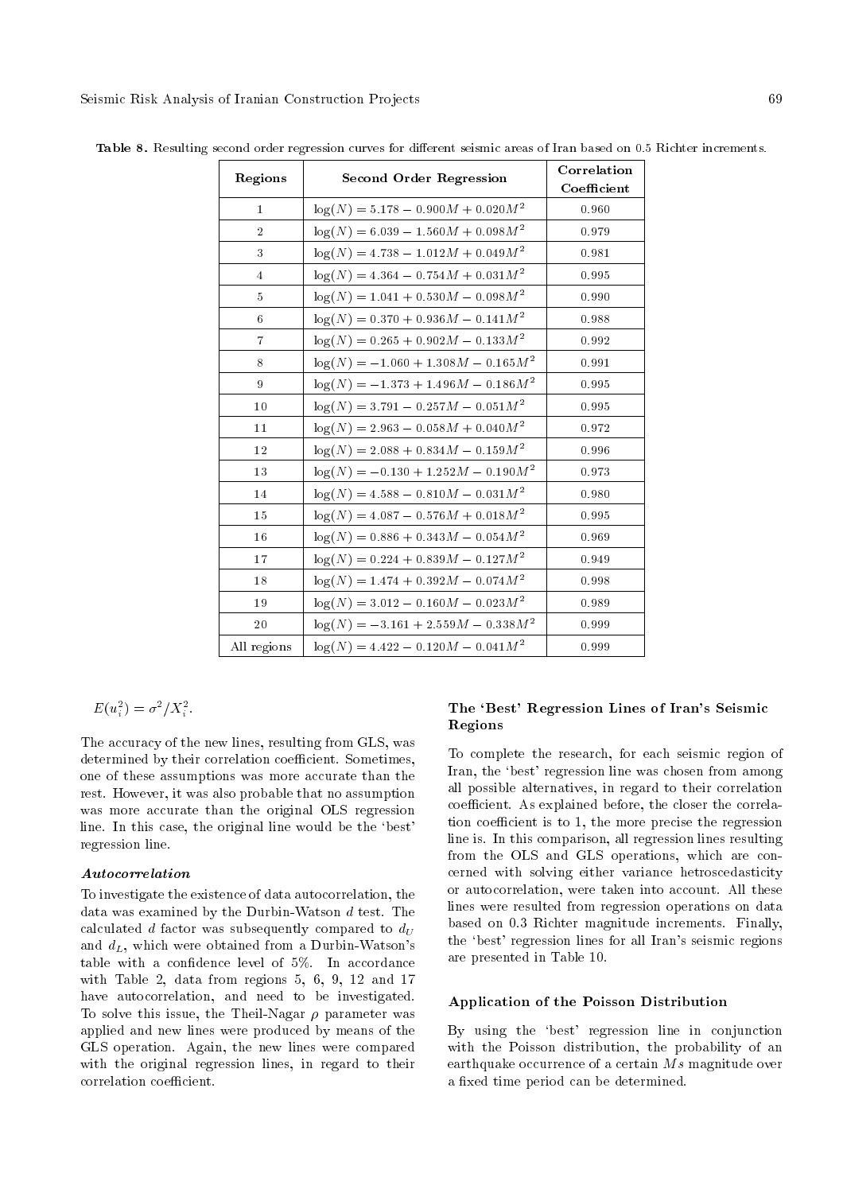| Regions        | <b>Second Order Regression</b>           | Correlation |
|----------------|------------------------------------------|-------------|
|                |                                          | Coefficient |
| $\mathbf{1}$   | $\log(N) = 5.178 - 0.900M + 0.020M^2$    | 0.960       |
| $\overline{2}$ | $\log(N) = 6.039 - 1.560M + 0.098M^2$    | 0.979       |
| 3              | $\log(N) = 4.738 - 1.012M + 0.049M^2$    | 0.981       |
| $\overline{4}$ | $\log(N) = 4.364 - 0.754M + 0.031M^2$    | 0.995       |
| 5              | $\log(N) = 1.041 + 0.530M - 0.098M^2$    | 0.990       |
| 6              | $\log(N) = 0.370 + 0.936M - 0.141M^2$    | 0.988       |
| $\overline{7}$ | $\log(N) = 0.265 + 0.902M - 0.133M^2$    | 0.992       |
| 8              | $\log(N) = -1.060 + 1.308M - 0.165M^2$   | 0.991       |
| 9              | $\log(N) = -1.373 + 1.496 M - 0.186 M^2$ | 0.995       |
| 10             | $\log(N) = 3.791 - 0.257M - 0.051M^2$    | 0.995       |
| 11             | $\log(N) = 2.963 - 0.058M + 0.040M^2$    | 0.972       |
| 12             | $\log(N) = 2.088 + 0.834M - 0.159M^2$    | 0.996       |
| 13             | $\log(N) = -0.130 + 1.252M - 0.190M^2$   | 0.973       |
| 14             | $\log(N) = 4.588 - 0.810M - 0.031M^2$    | 0.980       |
| 15             | $\log(N) = 4.087 - 0.576M + 0.018M^2$    | 0.995       |
| 16             | $\log(N) = 0.886 + 0.343M - 0.054M^2$    | 0.969       |
| 17             | $\log(N) = 0.224 + 0.839M - 0.127M^2$    | 0.949       |
| 18             | $\log(N) = 1.474 + 0.392M - 0.074M^2$    | 0.998       |
| 19             | $log(N) = 3.012 - 0.160M - 0.023M^2$     | 0.989       |
| 20             | $\log(N) = -3.161 + 2.559M - 0.338M^2$   | 0.999       |
| All regions    | $\log(N) = 4.422 - 0.120M - 0.041M^2$    | 0.999       |

Table 8. Resulting second order regression curves for different seismic areas of Iran based on 0.5 Richter increments.

$$
E(u_i^2) = \sigma^2 / X_i^2.
$$

The accuracy of the new lines, resulting from GLS, was determined by their correlation coefficient. Sometimes, one of these assumptions was more accurate than the rest. However, it was also probable that no assumption was more accurate than the original OLS regression line. In this case, the original line would be the `best' regression line.

## Autocorrelation

To investigate the existence of data autocorrelation, the data was examined by the Durbin-Watson d test. The calculated d factor was subsequently compared to  $d_U$ and  $d_L$ , which were obtained from a Durbin-Watson's table with a confidence level of  $5\%$ . In accordance with Table 2, data from regions 5, 6, 9, 12 and 17 have autocorrelation, and need to be investigated. To solve this issue, the Theil-Nagar  $\rho$  parameter was applied and new lines were produced by means of the GLS operation. Again, the new lines were compared with the original regression lines, in regard to their correlation coefficient.

# The `Best' Regression Lines of Iran's Seismic Regions

To complete the research, for each seismic region of Iran, the 'best' regression line was chosen from among all possible alternatives, in regard to their correlation coefficient. As explained before, the closer the correlation coefficient is to 1, the more precise the regression line is. In this comparison, all regression lines resulting from the OLS and GLS operations, which are concerned with solving either variance hetroscedasticity or autocorrelation, were taken into account. All these lines were resulted from regression operations on data based on 0.3 Richter magnitude increments. Finally, the `best' regression lines for all Iran's seismic regions are presented in Table 10.

#### Application of the Poisson Distribution

By using the `best' regression line in conjunction with the Poisson distribution, the probability of an earthquake occurrence of a certain  $Ms$  magnitude over a fixed time period can be determined.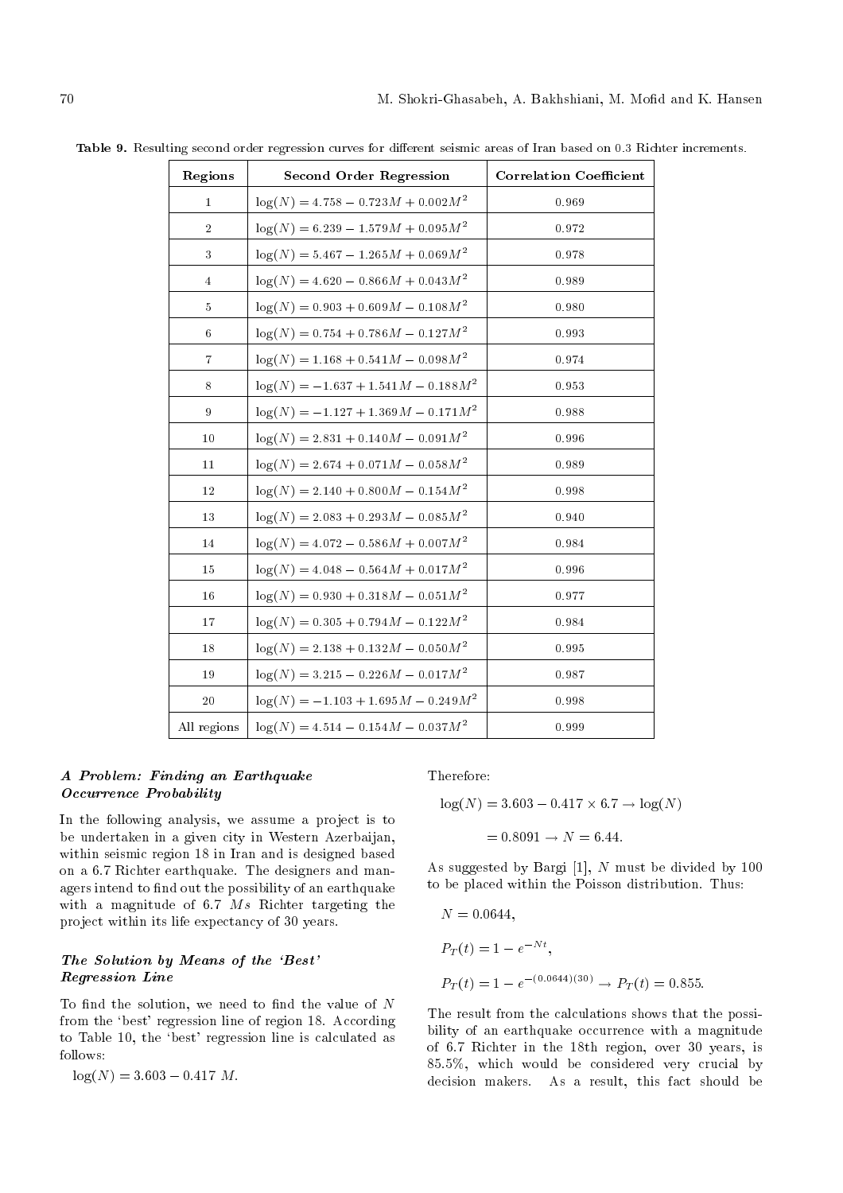| Regions        | <b>Second Order Regression</b>         | <b>Correlation Coefficient</b> |
|----------------|----------------------------------------|--------------------------------|
| $\bf{1}$       | $\log(N) = 4.758 - 0.723M + 0.002M^2$  | 0.969                          |
| $\sqrt{2}$     | $\log(N) = 6.239 - 1.579M + 0.095M^2$  | 0.972                          |
| 3              | $\log(N) = 5.467 - 1.265M + 0.069M^2$  | 0.978                          |
| $\overline{4}$ | $\log(N) = 4.620 - 0.866M + 0.043M^2$  | 0.989                          |
| $\overline{5}$ | $\log(N) = 0.903 + 0.609M - 0.108M^2$  | 0.980                          |
| 6              | $\log(N) = 0.754 + 0.786M - 0.127M^2$  | 0.993                          |
| $\overline{7}$ | $\log(N) = 1.168 + 0.541M - 0.098M^2$  | 0.974                          |
| $\,8\,$        | $\log(N) = -1.637 + 1.541M - 0.188M^2$ | 0.953                          |
| 9              | $\log(N) = -1.127 + 1.369M - 0.171M^2$ | 0.988                          |
| 10             | $\log(N) = 2.831 + 0.140M - 0.091M^2$  | 0.996                          |
| $1\,1$         | $\log(N) = 2.674 + 0.071M - 0.058M^2$  | 0.989                          |
| 12             | $\log(N) = 2.140 + 0.800M - 0.154M^2$  | 0.998                          |
| 13             | $\log(N) = 2.083 + 0.293M - 0.085M^2$  | 0.940                          |
| 14             | $\log(N) = 4.072 - 0.586M + 0.007M^2$  | 0.984                          |
| 15             | $\log(N) = 4.048 - 0.564M + 0.017M^2$  | 0.996                          |
| 16             | $\log(N) = 0.930 + 0.318M - 0.051M^2$  | 0.977                          |
| 17             | $\log(N) = 0.305 + 0.794M - 0.122M^2$  | 0.984                          |
| 18             | $\log(N) = 2.138 + 0.132M - 0.050M^2$  | 0.995                          |
| 19             | $\log(N) = 3.215 - 0.226M - 0.017M^2$  | 0.987                          |
| 20             | $\log(N) = -1.103 + 1.695M - 0.249M^2$ | 0.998                          |
| All regions    | $\log(N) = 4.514 - 0.154M - 0.037M^2$  | 0.999                          |

Table 9. Resulting second order regression curves for different seismic areas of Iran based on 0.3 Richter increments.

# A Problem: Finding an Earthquake Occurrence Probability

In the following analysis, we assume a project is to be undertaken in a given city in Western Azerbaijan, within seismic region 18 in Iran and is designed based on a 6.7 Richter earthquake. The designers and managers intend to find out the possibility of an earthquake with a magnitude of 6.7 Ms Richter targeting the project within its life expectancy of 30 years.

# The Solution by Means of the 'Best' Regression Line

To find the solution, we need to find the value of  $N$ from the 'best' regression line of region 18. According to Table 10, the `best' regression line is calculated as follows:

$$
\log(N) = 3.603 - 0.417~M.
$$

Therefore:

$$
\log(N) = 3.603 - 0.417 \times 6.7 \to \log(N)
$$

$$
= 0.8091 \to N = 6.44.
$$

As suggested by Bargi [1], N must be divided by 100 to be placed within the Poisson distribution. Thus:

$$
N = 0.0644,
$$
  
\n
$$
P_T(t) = 1 - e^{-Nt},
$$
  
\n
$$
P_T(t) = 1 - e^{-(0.0644)(30)} \rightarrow P_T(t) = 0.855.
$$

The result from the calculations shows that the possibility of an earthquake occurrence with a magnitude of 6.7 Richter in the 18th region, over 30 years, is 85.5%, which would be considered very crucial by decision makers. As a result, this fact should be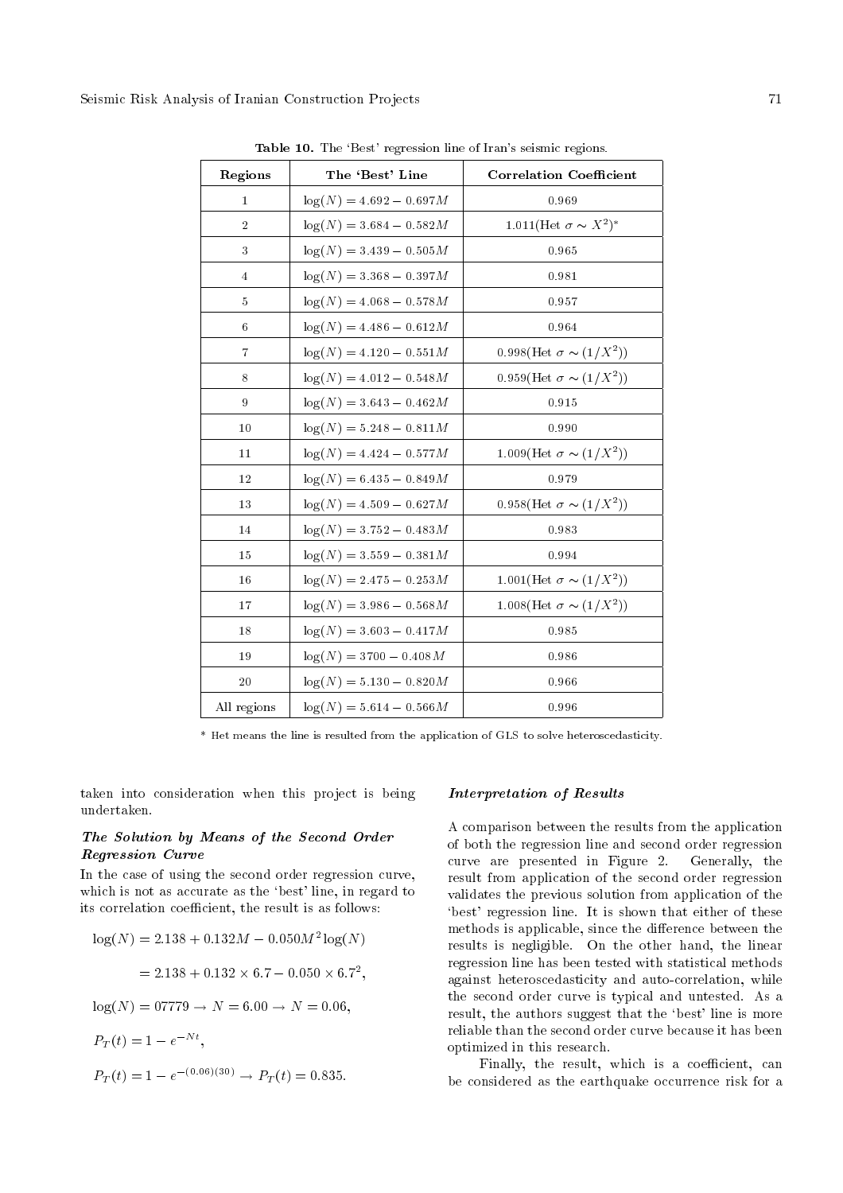| Regions        | The 'Best' Line            | <b>Correlation Coefficient</b>          |
|----------------|----------------------------|-----------------------------------------|
| $\bf{1}$       | $\log(N) = 4.692 - 0.697M$ | 0.969                                   |
| $\sqrt{2}$     | $log(N) = 3.684 - 0.582M$  | 1.011(Het $\sigma \sim X^2$ )*          |
| 3              | $log(N) = 3.439 - 0.505M$  | 0.965                                   |
| $\overline{4}$ | $log(N) = 3.368 - 0.397M$  | 0.981                                   |
| 5              | $\log(N) = 4.068 - 0.578M$ | 0.957                                   |
| 6              | $\log(N) = 4.486 - 0.612M$ | 0.964                                   |
| 7              | $\log(N) = 4.120 - 0.551M$ | 0.998(Het $\sigma \sim (1/X^2)$ )       |
| 8              | $\log(N) = 4.012 - 0.548M$ | 0.959(Het $\sigma \sim (1/X^2)$ )       |
| 9              | $log(N) = 3.643 - 0.462M$  | 0.915                                   |
| 10             | $\log(N) = 5.248 - 0.811M$ | 0.990                                   |
| 11             | $log(N) = 4.424 - 0.577M$  | 1.009(Het $\sigma \sim (1/X^2)$ )       |
| 12             | $\log(N) = 6.435 - 0.849M$ | 0.979                                   |
| 13             | $\log(N) = 4.509 - 0.627M$ | 0.958(Het $\sigma \sim (1/X^2)$ )       |
| 14             | $\log(N) = 3.752 - 0.483M$ | 0.983                                   |
| 15             | $log(N) = 3.559 - 0.381M$  | 0.994                                   |
| 16             | $\log(N) = 2.475 - 0.253M$ | 1.001(Het $\sigma \sim (1/X^2)$ )       |
| 17             | $\log(N) = 3.986 - 0.568M$ | $1.008(\text{Het }\sigma \sim (1/X^2))$ |
| 18             | $\log(N) = 3.603 - 0.417M$ | 0.985                                   |
| 19             | $\log(N) = 3700 - 0.408M$  | 0.986                                   |
| $20\,$         | $\log(N) = 5.130 - 0.820M$ | 0.966                                   |
| All regions    | $log(N) = 5.614 - 0.566M$  | 0.996                                   |

Table 10. The 'Best' regression line of Iran's seismic regions.

\* Het means the line is resulted from the application of GLS to solve heteroscedasticity.

taken into consideration when this project is being undertaken.

# The Solution by Means of the Second Order Regression Curve

In the case of using the second order regression curve, which is not as accurate as the 'best' line, in regard to its correlation coefficient, the result is as follows:

$$
log(N) = 2.138 + 0.132M - 0.050M^{2} log(N)
$$
  
= 2.138 + 0.132 × 6.7 - 0.050 × 6.7<sup>2</sup>,  

$$
log(N) = 07779 \rightarrow N = 6.00 \rightarrow N = 0.06,
$$
  

$$
P_T(t) = 1 - e^{-Nt},
$$

$$
P_T(t) = 1 - e^{-(0.06)(30)} \rightarrow P_T(t) = 0.835.
$$

#### Interpretation of Results

A comparison between the results from the application of both the regression line and second order regression curve are presented in Figure 2. Generally, the result from application of the second order regression validates the previous solution from application of the `best' regression line. It is shown that either of these methods is applicable, since the difference between the results is negligible. On the other hand, the linear regression line has been tested with statistical methods against heteroscedasticity and auto-correlation, while the second order curve is typical and untested. As a result, the authors suggest that the 'best' line is more reliable than the second order curve because it has been optimized in this research.

Finally, the result, which is a coefficient, can be considered as the earthquake occurrence risk for a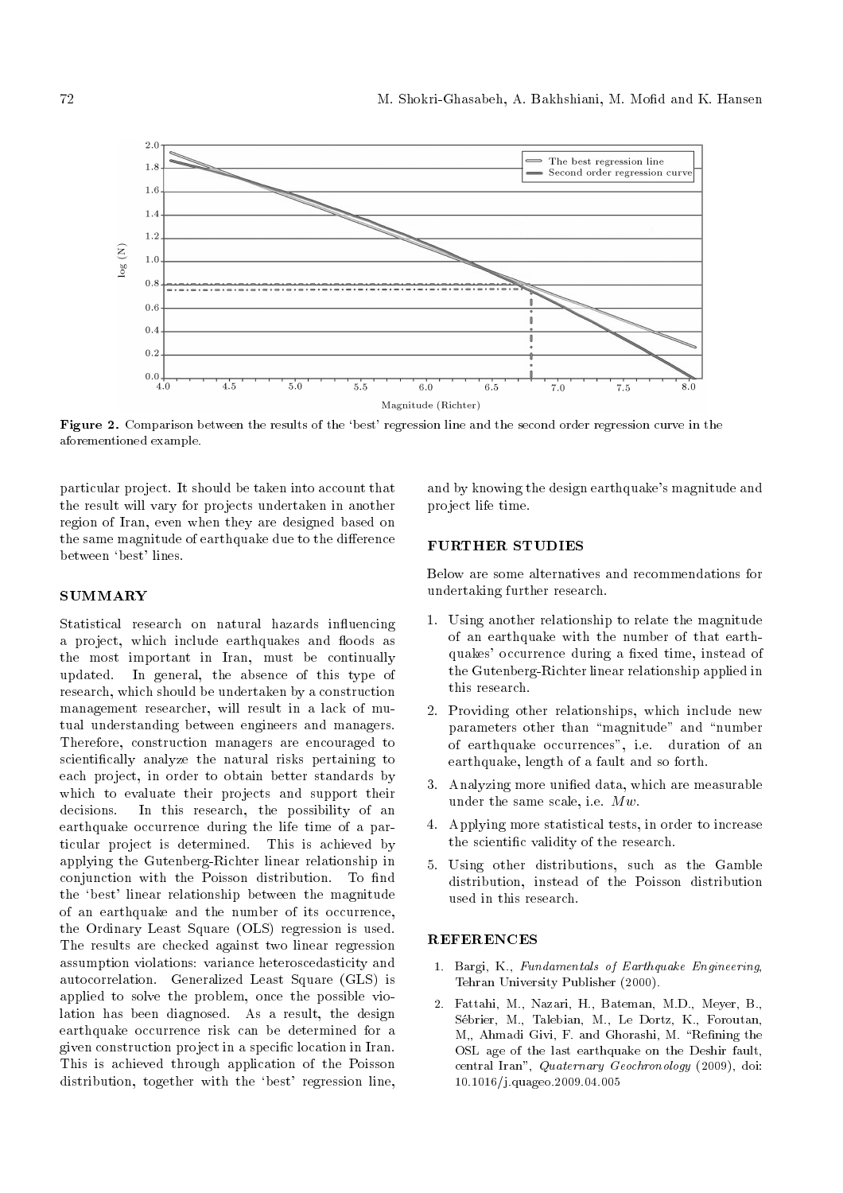

Figure 2. Comparison between the results of the 'best' regression line and the second order regression curve in the aforementioned example.

particular project. It should be taken into account that the result will vary for projects undertaken in another region of Iran, even when they are designed based on the same magnitude of earthquake due to the difference between `best' lines.

## **SUMMARY**

Statistical research on natural hazards influencing a project, which include earthquakes and floods as the most important in Iran, must be continually updated. In general, the absence of this type of research, which should be undertaken by a construction management researcher, will result in a lack of mutual understanding between engineers and managers. Therefore, construction managers are encouraged to scientically analyze the natural risks pertaining to each project, in order to obtain better standards by which to evaluate their projects and support their decisions. In this research, the possibility of an earthquake occurrence during the life time of a particular project is determined. This is achieved by applying the Gutenberg-Richter linear relationship in conjunction with the Poisson distribution. To find the `best' linear relationship between the magnitude of an earthquake and the number of its occurrence, the Ordinary Least Square (OLS) regression is used. The results are checked against two linear regression assumption violations: variance heteroscedasticity and autocorrelation. Generalized Least Square (GLS) is applied to solve the problem, once the possible violation has been diagnosed. As a result, the design earthquake occurrence risk can be determined for a given construction project in a specic location in Iran. This is achieved through application of the Poisson distribution, together with the 'best' regression line,

and by knowing the design earthquake's magnitude and project life time.

## FURTHER STUDIES

Below are some alternatives and recommendations for undertaking further research.

- 1. Using another relationship to relate the magnitude of an earthquake with the number of that earthquakes' occurrence during a fixed time, instead of the Gutenberg-Richter linear relationship applied in this research.
- 2. Providing other relationships, which include new parameters other than "magnitude" and "number of earthquake occurrences", i.e. duration of an earthquake, length of a fault and so forth.
- 3. Analyzing more unied data, which are measurable under the same scale, i.e.  $Mw$ .
- 4. Applying more statistical tests, in order to increase the scientic validity of the research.
- 5. Using other distributions, such as the Gamble distribution, instead of the Poisson distribution used in this research.

#### **REFERENCES**

- 1. Bargi, K., Fundamentals of Earthquake Engineering, Tehran University Publisher (2000).
- 2. Fattahi, M., Nazari, H., Bateman, M.D., Meyer, B., Sebrier, M., Talebian, M., Le Dortz, K., Foroutan, M., Ahmadi Givi, F. and Ghorashi, M. "Refining the OSL age of the last earthquake on the Deshir fault, central Iran", Quaternary Geochronology (2009), doi: 10.1016/j.quageo.2009.04.005